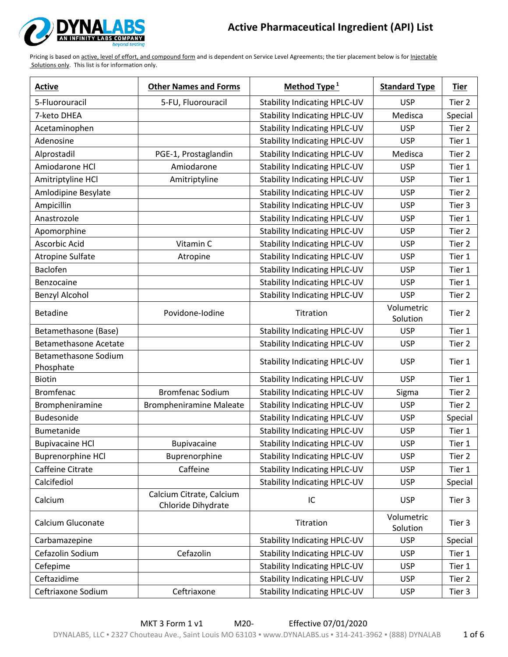

| <b>Active</b>                            | <b>Other Names and Forms</b>                   | Method Type <sup>1</sup>            | <b>Standard Type</b>   | <b>Tier</b> |
|------------------------------------------|------------------------------------------------|-------------------------------------|------------------------|-------------|
| 5-Fluorouracil                           | 5-FU, Fluorouracil                             | <b>Stability Indicating HPLC-UV</b> | <b>USP</b>             | Tier 2      |
| 7-keto DHEA                              |                                                | <b>Stability Indicating HPLC-UV</b> | Medisca                | Special     |
| Acetaminophen                            |                                                | <b>Stability Indicating HPLC-UV</b> | <b>USP</b>             | Tier 2      |
| Adenosine                                |                                                | <b>Stability Indicating HPLC-UV</b> | <b>USP</b>             | Tier 1      |
| Alprostadil                              | PGE-1, Prostaglandin                           | <b>Stability Indicating HPLC-UV</b> | Medisca                | Tier 2      |
| Amiodarone HCl                           | Amiodarone                                     | <b>Stability Indicating HPLC-UV</b> | <b>USP</b>             | Tier 1      |
| Amitriptyline HCl                        | Amitriptyline                                  | <b>Stability Indicating HPLC-UV</b> | <b>USP</b>             | Tier 1      |
| Amlodipine Besylate                      |                                                | <b>Stability Indicating HPLC-UV</b> | <b>USP</b>             | Tier 2      |
| Ampicillin                               |                                                | <b>Stability Indicating HPLC-UV</b> | <b>USP</b>             | Tier 3      |
| Anastrozole                              |                                                | <b>Stability Indicating HPLC-UV</b> | <b>USP</b>             | Tier 1      |
| Apomorphine                              |                                                | <b>Stability Indicating HPLC-UV</b> | <b>USP</b>             | Tier 2      |
| Ascorbic Acid                            | Vitamin C                                      | <b>Stability Indicating HPLC-UV</b> | <b>USP</b>             | Tier 2      |
| <b>Atropine Sulfate</b>                  | Atropine                                       | <b>Stability Indicating HPLC-UV</b> | <b>USP</b>             | Tier 1      |
| Baclofen                                 |                                                | <b>Stability Indicating HPLC-UV</b> | <b>USP</b>             | Tier 1      |
| Benzocaine                               |                                                | <b>Stability Indicating HPLC-UV</b> | <b>USP</b>             | Tier 1      |
| Benzyl Alcohol                           |                                                | <b>Stability Indicating HPLC-UV</b> | <b>USP</b>             | Tier 2      |
| <b>Betadine</b>                          | Povidone-Iodine                                | Titration                           | Volumetric<br>Solution | Tier 2      |
| Betamethasone (Base)                     |                                                | <b>Stability Indicating HPLC-UV</b> | <b>USP</b>             | Tier 1      |
| <b>Betamethasone Acetate</b>             |                                                | <b>Stability Indicating HPLC-UV</b> | <b>USP</b>             | Tier 2      |
| <b>Betamethasone Sodium</b><br>Phosphate |                                                | <b>Stability Indicating HPLC-UV</b> | <b>USP</b>             | Tier 1      |
| Biotin                                   |                                                | <b>Stability Indicating HPLC-UV</b> | <b>USP</b>             | Tier 1      |
| <b>Bromfenac</b>                         | <b>Bromfenac Sodium</b>                        | <b>Stability Indicating HPLC-UV</b> | Sigma                  | Tier 2      |
| Brompheniramine                          | <b>Brompheniramine Maleate</b>                 | <b>Stability Indicating HPLC-UV</b> | <b>USP</b>             | Tier 2      |
| Budesonide                               |                                                | <b>Stability Indicating HPLC-UV</b> | <b>USP</b>             | Special     |
| Bumetanide                               |                                                | <b>Stability Indicating HPLC-UV</b> | <b>USP</b>             | Tier 1      |
| <b>Bupivacaine HCI</b>                   | <b>Bupivacaine</b>                             | <b>Stability Indicating HPLC-UV</b> | <b>USP</b>             | Tier 1      |
| <b>Buprenorphine HCl</b>                 | Buprenorphine                                  | <b>Stability Indicating HPLC-UV</b> | <b>USP</b>             | Tier 2      |
| Caffeine Citrate                         | Caffeine                                       | <b>Stability Indicating HPLC-UV</b> | <b>USP</b>             | Tier 1      |
| Calcifediol                              |                                                | <b>Stability Indicating HPLC-UV</b> | <b>USP</b>             | Special     |
| Calcium                                  | Calcium Citrate, Calcium<br>Chloride Dihydrate | IC                                  | <b>USP</b>             | Tier 3      |
| Calcium Gluconate                        |                                                | Titration                           | Volumetric<br>Solution | Tier 3      |
| Carbamazepine                            |                                                | <b>Stability Indicating HPLC-UV</b> | <b>USP</b>             | Special     |
| Cefazolin Sodium                         | Cefazolin                                      | <b>Stability Indicating HPLC-UV</b> | <b>USP</b>             | Tier 1      |
| Cefepime                                 |                                                | <b>Stability Indicating HPLC-UV</b> | <b>USP</b>             | Tier 1      |
| Ceftazidime                              |                                                | <b>Stability Indicating HPLC-UV</b> | <b>USP</b>             | Tier 2      |
| Ceftriaxone Sodium                       | Ceftriaxone                                    | <b>Stability Indicating HPLC-UV</b> | <b>USP</b>             | Tier 3      |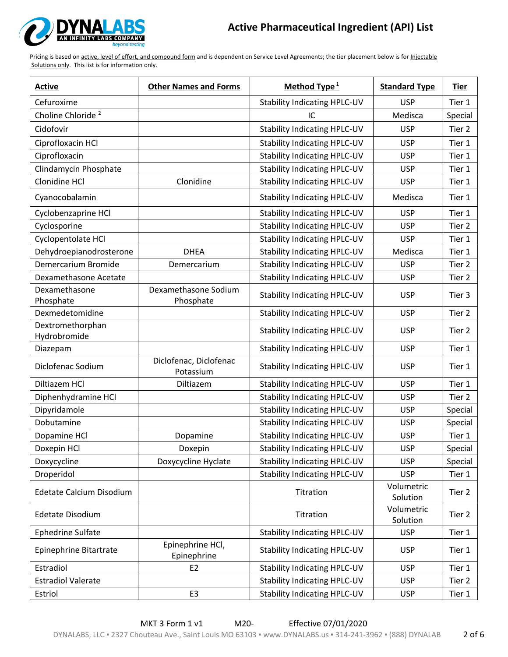

| <b>Active</b>                    | <b>Other Names and Forms</b>        | Method Type <sup>1</sup>            | <b>Standard Type</b>   | <b>Tier</b> |
|----------------------------------|-------------------------------------|-------------------------------------|------------------------|-------------|
| Cefuroxime                       |                                     | <b>Stability Indicating HPLC-UV</b> | <b>USP</b>             | Tier 1      |
| Choline Chloride <sup>2</sup>    |                                     | IC                                  | Medisca                | Special     |
| Cidofovir                        |                                     | <b>Stability Indicating HPLC-UV</b> | <b>USP</b>             | Tier 2      |
| Ciprofloxacin HCl                |                                     | <b>Stability Indicating HPLC-UV</b> | <b>USP</b>             | Tier 1      |
| Ciprofloxacin                    |                                     | <b>Stability Indicating HPLC-UV</b> | <b>USP</b>             | Tier 1      |
| Clindamycin Phosphate            |                                     | <b>Stability Indicating HPLC-UV</b> | <b>USP</b>             | Tier 1      |
| Clonidine HCl                    | Clonidine                           | <b>Stability Indicating HPLC-UV</b> | <b>USP</b>             | Tier 1      |
| Cyanocobalamin                   |                                     | <b>Stability Indicating HPLC-UV</b> | Medisca                | Tier 1      |
| Cyclobenzaprine HCl              |                                     | <b>Stability Indicating HPLC-UV</b> | <b>USP</b>             | Tier 1      |
| Cyclosporine                     |                                     | <b>Stability Indicating HPLC-UV</b> | <b>USP</b>             | Tier 2      |
| Cyclopentolate HCl               |                                     | <b>Stability Indicating HPLC-UV</b> | <b>USP</b>             | Tier 1      |
| Dehydroepianodrosterone          | <b>DHEA</b>                         | <b>Stability Indicating HPLC-UV</b> | Medisca                | Tier 1      |
| Demercarium Bromide              | Demercarium                         | <b>Stability Indicating HPLC-UV</b> | <b>USP</b>             | Tier 2      |
| Dexamethasone Acetate            |                                     | <b>Stability Indicating HPLC-UV</b> | <b>USP</b>             | Tier 2      |
| Dexamethasone<br>Phosphate       | Dexamethasone Sodium<br>Phosphate   | <b>Stability Indicating HPLC-UV</b> | <b>USP</b>             | Tier 3      |
| Dexmedetomidine                  |                                     | <b>Stability Indicating HPLC-UV</b> | <b>USP</b>             | Tier 2      |
| Dextromethorphan<br>Hydrobromide |                                     | <b>Stability Indicating HPLC-UV</b> | <b>USP</b>             | Tier 2      |
| Diazepam                         |                                     | <b>Stability Indicating HPLC-UV</b> | <b>USP</b>             | Tier 1      |
| Diclofenac Sodium                | Diclofenac, Diclofenac<br>Potassium | <b>Stability Indicating HPLC-UV</b> | <b>USP</b>             | Tier 1      |
| Diltiazem HCl                    | Diltiazem                           | <b>Stability Indicating HPLC-UV</b> | <b>USP</b>             | Tier 1      |
| Diphenhydramine HCl              |                                     | <b>Stability Indicating HPLC-UV</b> | <b>USP</b>             | Tier 2      |
| Dipyridamole                     |                                     | <b>Stability Indicating HPLC-UV</b> | <b>USP</b>             | Special     |
| Dobutamine                       |                                     | <b>Stability Indicating HPLC-UV</b> | <b>USP</b>             | Special     |
| Dopamine HCl                     | Dopamine                            | <b>Stability Indicating HPLC-UV</b> | <b>USP</b>             | Tier 1      |
| Doxepin HCl                      | Doxepin                             | <b>Stability Indicating HPLC-UV</b> | <b>USP</b>             | Special     |
| Doxycycline                      | Doxycycline Hyclate                 | <b>Stability Indicating HPLC-UV</b> | <b>USP</b>             | Special     |
| Droperidol                       |                                     | <b>Stability Indicating HPLC-UV</b> | <b>USP</b>             | Tier 1      |
| Edetate Calcium Disodium         |                                     | Titration                           | Volumetric<br>Solution | Tier 2      |
| <b>Edetate Disodium</b>          |                                     | Titration                           | Volumetric<br>Solution | Tier 2      |
| Ephedrine Sulfate                |                                     | <b>Stability Indicating HPLC-UV</b> | <b>USP</b>             | Tier 1      |
| Epinephrine Bitartrate           | Epinephrine HCl,<br>Epinephrine     | <b>Stability Indicating HPLC-UV</b> | <b>USP</b>             | Tier 1      |
| Estradiol                        | E <sub>2</sub>                      | <b>Stability Indicating HPLC-UV</b> | <b>USP</b>             | Tier 1      |
| <b>Estradiol Valerate</b>        |                                     | <b>Stability Indicating HPLC-UV</b> | <b>USP</b>             | Tier 2      |
| Estriol                          | E <sub>3</sub>                      | <b>Stability Indicating HPLC-UV</b> | <b>USP</b>             | Tier 1      |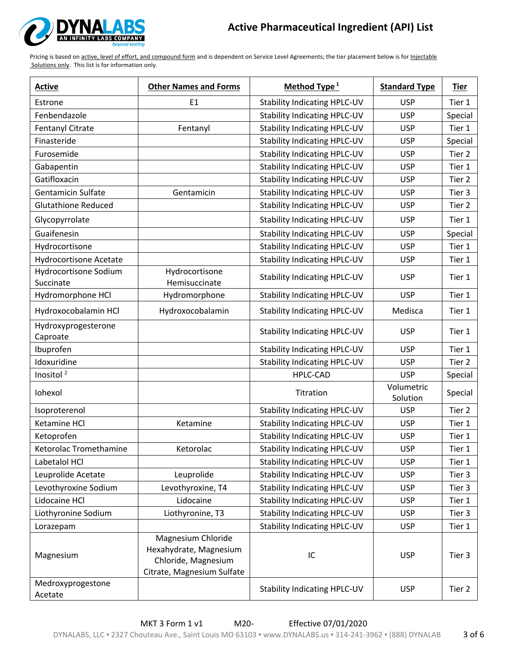

| <b>Active</b>                             | <b>Other Names and Forms</b>                                                                      | Method Type <sup>1</sup>            | <b>Standard Type</b>   | <b>Tier</b> |
|-------------------------------------------|---------------------------------------------------------------------------------------------------|-------------------------------------|------------------------|-------------|
| Estrone                                   | E1                                                                                                | <b>Stability Indicating HPLC-UV</b> | <b>USP</b>             | Tier 1      |
| Fenbendazole                              |                                                                                                   | <b>Stability Indicating HPLC-UV</b> | <b>USP</b>             | Special     |
| Fentanyl Citrate                          | Fentanyl                                                                                          | <b>Stability Indicating HPLC-UV</b> | <b>USP</b>             | Tier 1      |
| Finasteride                               |                                                                                                   | <b>Stability Indicating HPLC-UV</b> | <b>USP</b>             | Special     |
| Furosemide                                |                                                                                                   | <b>Stability Indicating HPLC-UV</b> | <b>USP</b>             | Tier 2      |
| Gabapentin                                |                                                                                                   | <b>Stability Indicating HPLC-UV</b> | <b>USP</b>             | Tier 1      |
| Gatifloxacin                              |                                                                                                   | <b>Stability Indicating HPLC-UV</b> | <b>USP</b>             | Tier 2      |
| <b>Gentamicin Sulfate</b>                 | Gentamicin                                                                                        | <b>Stability Indicating HPLC-UV</b> | <b>USP</b>             | Tier 3      |
| <b>Glutathione Reduced</b>                |                                                                                                   | <b>Stability Indicating HPLC-UV</b> | <b>USP</b>             | Tier 2      |
| Glycopyrrolate                            |                                                                                                   | <b>Stability Indicating HPLC-UV</b> | <b>USP</b>             | Tier 1      |
| Guaifenesin                               |                                                                                                   | <b>Stability Indicating HPLC-UV</b> | <b>USP</b>             | Special     |
| Hydrocortisone                            |                                                                                                   | <b>Stability Indicating HPLC-UV</b> | <b>USP</b>             | Tier 1      |
| <b>Hydrocortisone Acetate</b>             |                                                                                                   | <b>Stability Indicating HPLC-UV</b> | <b>USP</b>             | Tier 1      |
| <b>Hydrocortisone Sodium</b><br>Succinate | Hydrocortisone<br>Hemisuccinate                                                                   | <b>Stability Indicating HPLC-UV</b> | <b>USP</b>             | Tier 1      |
| Hydromorphone HCl                         | Hydromorphone                                                                                     | <b>Stability Indicating HPLC-UV</b> | <b>USP</b>             | Tier 1      |
| Hydroxocobalamin HCl                      | Hydroxocobalamin                                                                                  | <b>Stability Indicating HPLC-UV</b> | Medisca                | Tier 1      |
| Hydroxyprogesterone<br>Caproate           |                                                                                                   | <b>Stability Indicating HPLC-UV</b> | <b>USP</b>             | Tier 1      |
| Ibuprofen                                 |                                                                                                   | <b>Stability Indicating HPLC-UV</b> | <b>USP</b>             | Tier 1      |
| Idoxuridine                               |                                                                                                   | <b>Stability Indicating HPLC-UV</b> | <b>USP</b>             | Tier 2      |
| Inositol <sup>2</sup>                     |                                                                                                   | HPLC-CAD                            | <b>USP</b>             | Special     |
| Iohexol                                   |                                                                                                   | Titration                           | Volumetric<br>Solution | Special     |
| Isoproterenol                             |                                                                                                   | <b>Stability Indicating HPLC-UV</b> | <b>USP</b>             | Tier 2      |
| Ketamine HCl                              | Ketamine                                                                                          | <b>Stability Indicating HPLC-UV</b> | <b>USP</b>             | Tier 1      |
| Ketoprofen                                |                                                                                                   | <b>Stability Indicating HPLC-UV</b> | <b>USP</b>             | Tier 1      |
| Ketorolac Tromethamine                    | Ketorolac                                                                                         | <b>Stability Indicating HPLC-UV</b> | <b>USP</b>             | Tier 1      |
| Labetalol HCl                             |                                                                                                   | <b>Stability Indicating HPLC-UV</b> | <b>USP</b>             | Tier 1      |
| Leuprolide Acetate                        | Leuprolide                                                                                        | <b>Stability Indicating HPLC-UV</b> | <b>USP</b>             | Tier 3      |
| Levothyroxine Sodium                      | Levothyroxine, T4                                                                                 | <b>Stability Indicating HPLC-UV</b> | <b>USP</b>             | Tier 3      |
| Lidocaine HCl                             | Lidocaine                                                                                         | <b>Stability Indicating HPLC-UV</b> | <b>USP</b>             | Tier 1      |
| Liothyronine Sodium                       | Liothyronine, T3                                                                                  | <b>Stability Indicating HPLC-UV</b> | <b>USP</b>             | Tier 3      |
| Lorazepam                                 |                                                                                                   | <b>Stability Indicating HPLC-UV</b> | <b>USP</b>             | Tier 1      |
| Magnesium                                 | Magnesium Chloride<br>Hexahydrate, Magnesium<br>Chloride, Magnesium<br>Citrate, Magnesium Sulfate | IC                                  | <b>USP</b>             | Tier 3      |
| Medroxyprogestone<br>Acetate              |                                                                                                   | <b>Stability Indicating HPLC-UV</b> | <b>USP</b>             | Tier 2      |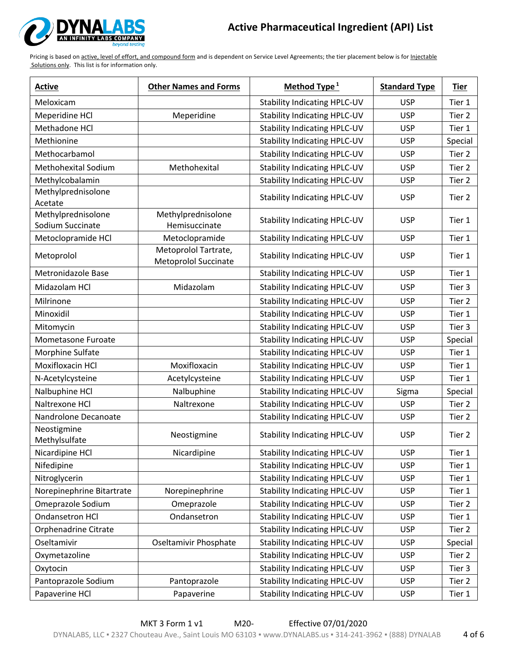

| <b>Active</b>                          | <b>Other Names and Forms</b>                        | Method Type <sup>1</sup>            | <b>Standard Type</b> | <b>Tier</b> |
|----------------------------------------|-----------------------------------------------------|-------------------------------------|----------------------|-------------|
| Meloxicam                              |                                                     | <b>Stability Indicating HPLC-UV</b> | <b>USP</b>           | Tier 1      |
| Meperidine HCl                         | Meperidine                                          | <b>Stability Indicating HPLC-UV</b> | <b>USP</b>           | Tier 2      |
| Methadone HCl                          |                                                     | <b>Stability Indicating HPLC-UV</b> | <b>USP</b>           | Tier 1      |
| Methionine                             |                                                     | <b>Stability Indicating HPLC-UV</b> | <b>USP</b>           | Special     |
| Methocarbamol                          |                                                     | <b>Stability Indicating HPLC-UV</b> | <b>USP</b>           | Tier 2      |
| <b>Methohexital Sodium</b>             | Methohexital                                        | <b>Stability Indicating HPLC-UV</b> | <b>USP</b>           | Tier 2      |
| Methylcobalamin                        |                                                     | <b>Stability Indicating HPLC-UV</b> | <b>USP</b>           | Tier 2      |
| Methylprednisolone<br>Acetate          |                                                     | <b>Stability Indicating HPLC-UV</b> | <b>USP</b>           | Tier 2      |
| Methylprednisolone<br>Sodium Succinate | Methylprednisolone<br>Hemisuccinate                 | <b>Stability Indicating HPLC-UV</b> | <b>USP</b>           | Tier 1      |
| Metoclopramide HCl                     | Metoclopramide                                      | <b>Stability Indicating HPLC-UV</b> | <b>USP</b>           | Tier 1      |
| Metoprolol                             | Metoprolol Tartrate,<br><b>Metoprolol Succinate</b> | <b>Stability Indicating HPLC-UV</b> | <b>USP</b>           | Tier 1      |
| Metronidazole Base                     |                                                     | <b>Stability Indicating HPLC-UV</b> | <b>USP</b>           | Tier 1      |
| Midazolam HCl                          | Midazolam                                           | <b>Stability Indicating HPLC-UV</b> | <b>USP</b>           | Tier 3      |
| Milrinone                              |                                                     | <b>Stability Indicating HPLC-UV</b> | <b>USP</b>           | Tier 2      |
| Minoxidil                              |                                                     | <b>Stability Indicating HPLC-UV</b> | <b>USP</b>           | Tier 1      |
| Mitomycin                              |                                                     | <b>Stability Indicating HPLC-UV</b> | <b>USP</b>           | Tier 3      |
| Mometasone Furoate                     |                                                     | <b>Stability Indicating HPLC-UV</b> | <b>USP</b>           | Special     |
| Morphine Sulfate                       |                                                     | <b>Stability Indicating HPLC-UV</b> | <b>USP</b>           | Tier 1      |
| Moxifloxacin HCl                       | Moxifloxacin                                        | <b>Stability Indicating HPLC-UV</b> | <b>USP</b>           | Tier 1      |
| N-Acetylcysteine                       | Acetylcysteine                                      | <b>Stability Indicating HPLC-UV</b> | <b>USP</b>           | Tier 1      |
| Nalbuphine HCl                         | Nalbuphine                                          | <b>Stability Indicating HPLC-UV</b> | Sigma                | Special     |
| Naltrexone HCl                         | Naltrexone                                          | <b>Stability Indicating HPLC-UV</b> | <b>USP</b>           | Tier 2      |
| Nandrolone Decanoate                   |                                                     | <b>Stability Indicating HPLC-UV</b> | <b>USP</b>           | Tier 2      |
| Neostigmine<br>Methylsulfate           | Neostigmine                                         | <b>Stability Indicating HPLC-UV</b> | <b>USP</b>           | Tier 2      |
| Nicardipine HCl                        | Nicardipine                                         | <b>Stability Indicating HPLC-UV</b> | <b>USP</b>           | Tier 1      |
| Nifedipine                             |                                                     | <b>Stability Indicating HPLC-UV</b> | <b>USP</b>           | Tier 1      |
| Nitroglycerin                          |                                                     | <b>Stability Indicating HPLC-UV</b> | <b>USP</b>           | Tier 1      |
| Norepinephrine Bitartrate              | Norepinephrine                                      | <b>Stability Indicating HPLC-UV</b> | <b>USP</b>           | Tier 1      |
| Omeprazole Sodium                      | Omeprazole                                          | <b>Stability Indicating HPLC-UV</b> | <b>USP</b>           | Tier 2      |
| Ondansetron HCl                        | Ondansetron                                         | <b>Stability Indicating HPLC-UV</b> | <b>USP</b>           | Tier 1      |
| Orphenadrine Citrate                   |                                                     | <b>Stability Indicating HPLC-UV</b> | <b>USP</b>           | Tier 2      |
| Oseltamivir                            | Oseltamivir Phosphate                               | <b>Stability Indicating HPLC-UV</b> | <b>USP</b>           | Special     |
| Oxymetazoline                          |                                                     | <b>Stability Indicating HPLC-UV</b> | <b>USP</b>           | Tier 2      |
| Oxytocin                               |                                                     | <b>Stability Indicating HPLC-UV</b> | <b>USP</b>           | Tier 3      |
| Pantoprazole Sodium                    | Pantoprazole                                        | <b>Stability Indicating HPLC-UV</b> | <b>USP</b>           | Tier 2      |
| Papaverine HCl                         | Papaverine                                          | <b>Stability Indicating HPLC-UV</b> | <b>USP</b>           | Tier 1      |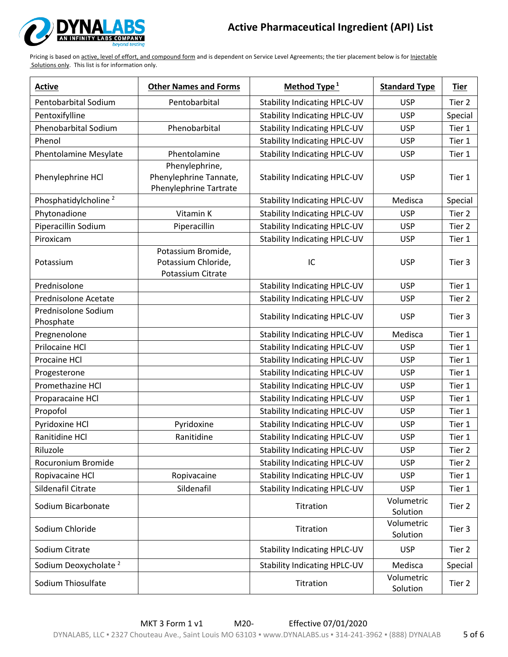

| <b>Active</b>                    | <b>Other Names and Forms</b>                                              | Method Type <sup>1</sup>            | <b>Standard Type</b>   | <b>Tier</b> |
|----------------------------------|---------------------------------------------------------------------------|-------------------------------------|------------------------|-------------|
| Pentobarbital Sodium             | Pentobarbital                                                             | <b>Stability Indicating HPLC-UV</b> | <b>USP</b>             | Tier 2      |
| Pentoxifylline                   |                                                                           | <b>Stability Indicating HPLC-UV</b> | <b>USP</b>             | Special     |
| Phenobarbital Sodium             | Phenobarbital                                                             | <b>Stability Indicating HPLC-UV</b> | <b>USP</b>             | Tier 1      |
| Phenol                           |                                                                           | <b>Stability Indicating HPLC-UV</b> | <b>USP</b>             | Tier 1      |
| <b>Phentolamine Mesylate</b>     | Phentolamine                                                              | <b>Stability Indicating HPLC-UV</b> | <b>USP</b>             | Tier 1      |
| Phenylephrine HCl                | Phenylephrine,<br>Phenylephrine Tannate,<br><b>Phenylephrine Tartrate</b> | <b>Stability Indicating HPLC-UV</b> | <b>USP</b>             | Tier 1      |
| Phosphatidylcholine <sup>2</sup> |                                                                           | <b>Stability Indicating HPLC-UV</b> | Medisca                | Special     |
| Phytonadione                     | Vitamin K                                                                 | <b>Stability Indicating HPLC-UV</b> | <b>USP</b>             | Tier 2      |
| Piperacillin Sodium              | Piperacillin                                                              | <b>Stability Indicating HPLC-UV</b> | <b>USP</b>             | Tier 2      |
| Piroxicam                        |                                                                           | <b>Stability Indicating HPLC-UV</b> | <b>USP</b>             | Tier 1      |
| Potassium                        | Potassium Bromide,<br>Potassium Chloride,<br>Potassium Citrate            | IC                                  | <b>USP</b>             | Tier 3      |
| Prednisolone                     |                                                                           | <b>Stability Indicating HPLC-UV</b> | <b>USP</b>             | Tier 1      |
| Prednisolone Acetate             |                                                                           | <b>Stability Indicating HPLC-UV</b> | <b>USP</b>             | Tier 2      |
| Prednisolone Sodium<br>Phosphate |                                                                           | <b>Stability Indicating HPLC-UV</b> | <b>USP</b>             | Tier 3      |
| Pregnenolone                     |                                                                           | <b>Stability Indicating HPLC-UV</b> | Medisca                | Tier 1      |
| Prilocaine HCl                   |                                                                           | <b>Stability Indicating HPLC-UV</b> | <b>USP</b>             | Tier 1      |
| Procaine HCl                     |                                                                           | <b>Stability Indicating HPLC-UV</b> | <b>USP</b>             | Tier 1      |
| Progesterone                     |                                                                           | <b>Stability Indicating HPLC-UV</b> | <b>USP</b>             | Tier 1      |
| Promethazine HCl                 |                                                                           | <b>Stability Indicating HPLC-UV</b> | <b>USP</b>             | Tier 1      |
| Proparacaine HCl                 |                                                                           | <b>Stability Indicating HPLC-UV</b> | <b>USP</b>             | Tier 1      |
| Propofol                         |                                                                           | <b>Stability Indicating HPLC-UV</b> | <b>USP</b>             | Tier 1      |
| Pyridoxine HCl                   | Pyridoxine                                                                | <b>Stability Indicating HPLC-UV</b> | <b>USP</b>             | Tier 1      |
| Ranitidine HCl                   | Ranitidine                                                                | <b>Stability Indicating HPLC-UV</b> | <b>USP</b>             | Tier 1      |
| Riluzole                         |                                                                           | Stability Indicating HPLC-UV        | USP                    | Tier 2      |
| Rocuronium Bromide               |                                                                           | <b>Stability Indicating HPLC-UV</b> | <b>USP</b>             | Tier 2      |
| Ropivacaine HCl                  | Ropivacaine                                                               | <b>Stability Indicating HPLC-UV</b> | <b>USP</b>             | Tier 1      |
| Sildenafil Citrate               | Sildenafil                                                                | <b>Stability Indicating HPLC-UV</b> | <b>USP</b>             | Tier 1      |
| Sodium Bicarbonate               |                                                                           | Titration                           | Volumetric<br>Solution | Tier 2      |
| Sodium Chloride                  |                                                                           | Titration                           | Volumetric<br>Solution | Tier 3      |
| Sodium Citrate                   |                                                                           | <b>Stability Indicating HPLC-UV</b> | <b>USP</b>             | Tier 2      |
| Sodium Deoxycholate <sup>2</sup> |                                                                           | <b>Stability Indicating HPLC-UV</b> | Medisca                | Special     |
| Sodium Thiosulfate               |                                                                           | Titration                           | Volumetric<br>Solution | Tier 2      |